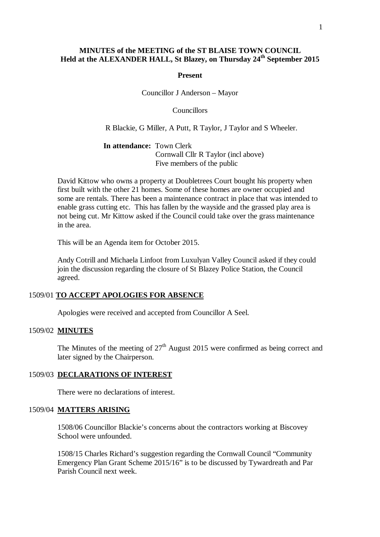# **MINUTES of the MEETING of the ST BLAISE TOWN COUNCIL Held at the ALEXANDER HALL, St Blazey, on Thursday 24th September 2015**

#### **Present**

Councillor J Anderson – Mayor

Councillors

R Blackie, G Miller, A Putt, R Taylor, J Taylor and S Wheeler.

**In attendance:** Town Clerk Cornwall Cllr R Taylor (incl above) Five members of the public

David Kittow who owns a property at Doubletrees Court bought his property when first built with the other 21 homes. Some of these homes are owner occupied and some are rentals. There has been a maintenance contract in place that was intended to enable grass cutting etc. This has fallen by the wayside and the grassed play area is not being cut. Mr Kittow asked if the Council could take over the grass maintenance in the area.

This will be an Agenda item for October 2015.

Andy Cotrill and Michaela Linfoot from Luxulyan Valley Council asked if they could join the discussion regarding the closure of St Blazey Police Station, the Council agreed.

#### 1509/01 **TO ACCEPT APOLOGIES FOR ABSENCE**

Apologies were received and accepted from Councillor A Seel.

#### 1509/02 **MINUTES**

The Minutes of the meeting of  $27<sup>th</sup>$  August 2015 were confirmed as being correct and later signed by the Chairperson.

#### 1509/03 **DECLARATIONS OF INTEREST**

There were no declarations of interest.

#### 1509/04 **MATTERS ARISING**

1508/06 Councillor Blackie's concerns about the contractors working at Biscovey School were unfounded.

1508/15 Charles Richard's suggestion regarding the Cornwall Council "Community Emergency Plan Grant Scheme 2015/16" is to be discussed by Tywardreath and Par Parish Council next week.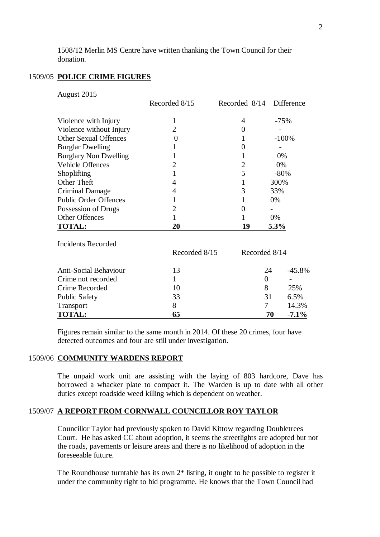1508/12 Merlin MS Centre have written thanking the Town Council for their donation.

# 1509/05 **POLICE CRIME FIGURES**

| August 2015                  |                  |                 |                  |        |                   |
|------------------------------|------------------|-----------------|------------------|--------|-------------------|
|                              | Recorded 8/15    | Recorded $8/14$ |                  |        | <b>Difference</b> |
| Violence with Injury         | 1                | 4               |                  | $-75%$ |                   |
| Violence without Injury      | $\overline{2}$   | 0               |                  |        |                   |
| <b>Other Sexual Offences</b> | $\boldsymbol{0}$ | 1               |                  |        | $-100%$           |
| <b>Burglar Dwelling</b>      | 1                | 0               |                  |        |                   |
| <b>Burglary Non Dwelling</b> | 1                | 1               |                  | 0%     |                   |
| <b>Vehicle Offences</b>      | $\overline{2}$   | 2               |                  | 0%     |                   |
| Shoplifting                  | $\mathbf{1}$     | 5               |                  | $-80%$ |                   |
| Other Theft                  | 4                | 1               |                  | 300%   |                   |
| <b>Criminal Damage</b>       | 4                | 3               |                  | 33%    |                   |
| <b>Public Order Offences</b> | 1                | 1               |                  | 0%     |                   |
| Possession of Drugs          | 2                | 0               |                  |        |                   |
| <b>Other Offences</b>        | $\mathbf{1}$     | 1               |                  | 0%     |                   |
| <b>TOTAL:</b>                | 20               | 19              |                  | 5.3%   |                   |
| <b>Incidents Recorded</b>    |                  |                 |                  |        |                   |
|                              | Recorded 8/15    |                 | Recorded 8/14    |        |                   |
| <b>Anti-Social Behaviour</b> | 13               |                 | 24               |        | $-45.8%$          |
| Crime not recorded           | $\mathbf{1}$     |                 | $\boldsymbol{0}$ |        |                   |
| Crime Recorded               | 10               |                 | 8                |        | 25%               |
| <b>Public Safety</b>         | 33               |                 | 31               |        | 6.5%              |
| Transport                    | 8                |                 | 7                |        | 14.3%             |
| <b>TOTAL:</b>                | 65               |                 | 70               |        | $-7.1\%$          |

Figures remain similar to the same month in 2014. Of these 20 crimes, four have detected outcomes and four are still under investigation.

#### 1509/06 **COMMUNITY WARDENS REPORT**

The unpaid work unit are assisting with the laying of 803 hardcore, Dave has borrowed a whacker plate to compact it. The Warden is up to date with all other duties except roadside weed killing which is dependent on weather.

### 1509/07 **A REPORT FROM CORNWALL COUNCILLOR ROY TAYLOR**

Councillor Taylor had previously spoken to David Kittow regarding Doubletrees Court. He has asked CC about adoption, it seems the streetlights are adopted but not the roads, pavements or leisure areas and there is no likelihood of adoption in the foreseeable future.

The Roundhouse turntable has its own 2\* listing, it ought to be possible to register it under the community right to bid programme. He knows that the Town Council had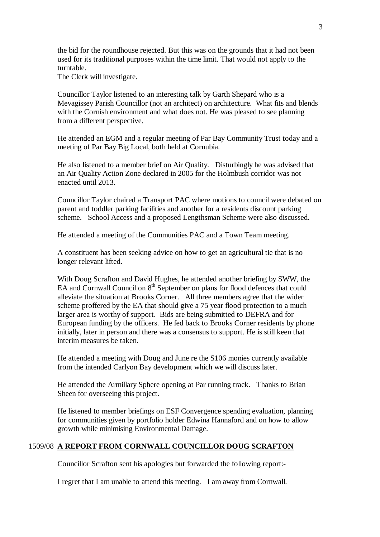the bid for the roundhouse rejected. But this was on the grounds that it had not been used for its traditional purposes within the time limit. That would not apply to the turntable.

The Clerk will investigate.

Councillor Taylor listened to an interesting talk by Garth Shepard who is a Mevagissey Parish Councillor (not an architect) on architecture. What fits and blends with the Cornish environment and what does not. He was pleased to see planning from a different perspective.

He attended an EGM and a regular meeting of Par Bay Community Trust today and a meeting of Par Bay Big Local, both held at Cornubia.

He also listened to a member brief on Air Quality. Disturbingly he was advised that an Air Quality Action Zone declared in 2005 for the Holmbush corridor was not enacted until 2013.

Councillor Taylor chaired a Transport PAC where motions to council were debated on parent and toddler parking facilities and another for a residents discount parking scheme. School Access and a proposed Lengthsman Scheme were also discussed.

He attended a meeting of the Communities PAC and a Town Team meeting.

A constituent has been seeking advice on how to get an agricultural tie that is no longer relevant lifted.

With Doug Scrafton and David Hughes, he attended another briefing by SWW, the EA and Cornwall Council on  $8<sup>th</sup>$  September on plans for flood defences that could alleviate the situation at Brooks Corner. All three members agree that the wider scheme proffered by the EA that should give a 75 year flood protection to a much larger area is worthy of support. Bids are being submitted to DEFRA and for European funding by the officers. He fed back to Brooks Corner residents by phone initially, later in person and there was a consensus to support. He is still keen that interim measures be taken.

He attended a meeting with Doug and June re the S106 monies currently available from the intended Carlyon Bay development which we will discuss later.

He attended the Armillary Sphere opening at Par running track. Thanks to Brian Sheen for overseeing this project.

He listened to member briefings on ESF Convergence spending evaluation, planning for communities given by portfolio holder Edwina Hannaford and on how to allow growth while minimising Environmental Damage.

# 1509/08 **A REPORT FROM CORNWALL COUNCILLOR DOUG SCRAFTON**

Councillor Scrafton sent his apologies but forwarded the following report:-

I regret that I am unable to attend this meeting. I am away from Cornwall.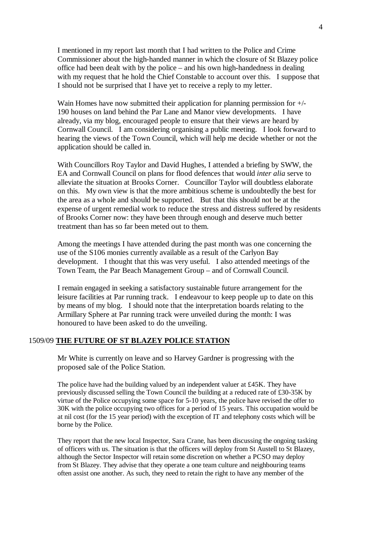I mentioned in my report last month that I had written to the Police and Crime Commissioner about the high-handed manner in which the closure of St Blazey police office had been dealt with by the police – and his own high-handedness in dealing with my request that he hold the Chief Constable to account over this. I suppose that I should not be surprised that I have yet to receive a reply to my letter.

Wain Homes have now submitted their application for planning permission for  $+/-$ 190 houses on land behind the Par Lane and Manor view developments. I have already, via my blog, encouraged people to ensure that their views are heard by Cornwall Council. I am considering organising a public meeting. I look forward to hearing the views of the Town Council, which will help me decide whether or not the application should be called in.

With Councillors Roy Taylor and David Hughes, I attended a briefing by SWW, the EA and Cornwall Council on plans for flood defences that would *inter alia* serve to alleviate the situation at Brooks Corner. Councillor Taylor will doubtless elaborate on this. My own view is that the more ambitious scheme is undoubtedly the best for the area as a whole and should be supported. But that this should not be at the expense of urgent remedial work to reduce the stress and distress suffered by residents of Brooks Corner now: they have been through enough and deserve much better treatment than has so far been meted out to them.

Among the meetings I have attended during the past month was one concerning the use of the S106 monies currently available as a result of the Carlyon Bay development. I thought that this was very useful. I also attended meetings of the Town Team, the Par Beach Management Group – and of Cornwall Council.

I remain engaged in seeking a satisfactory sustainable future arrangement for the leisure facilities at Par running track. I endeavour to keep people up to date on this by means of my blog. I should note that the interpretation boards relating to the Armillary Sphere at Par running track were unveiled during the month: I was honoured to have been asked to do the unveiling.

# 1509/09 **THE FUTURE OF ST BLAZEY POLICE STATION**

Mr White is currently on leave and so Harvey Gardner is progressing with the proposed sale of the Police Station.

The police have had the building valued by an independent valuer at £45K. They have previously discussed selling the Town Council the building at a reduced rate of £30-35K by virtue of the Police occupying some space for 5-10 years, the police have revised the offer to 30K with the police occupying two offices for a period of 15 years. This occupation would be at nil cost (for the 15 year period) with the exception of IT and telephony costs which will be borne by the Police.

They report that the new local Inspector, Sara Crane, has been discussing the ongoing tasking of officers with us. The situation is that the officers will deploy from St Austell to St Blazey, although the Sector Inspector will retain some discretion on whether a PCSO may deploy from St Blazey. They advise that they operate a one team culture and neighbouring teams often assist one another. As such, they need to retain the right to have any member of the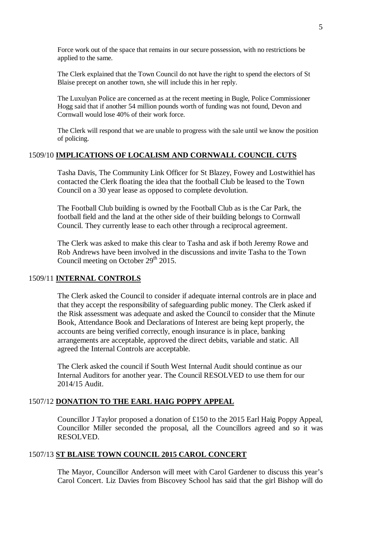Force work out of the space that remains in our secure possession, with no restrictions be applied to the same.

The Clerk explained that the Town Council do not have the right to spend the electors of St Blaise precept on another town, she will include this in her reply.

The Luxulyan Police are concerned as at the recent meeting in Bugle, Police Commissioner Hogg said that if another 54 million pounds worth of funding was not found, Devon and Cornwall would lose 40% of their work force.

The Clerk will respond that we are unable to progress with the sale until we know the position of policing.

# 1509/10 **IMPLICATIONS OF LOCALISM AND CORNWALL COUNCIL CUTS**

Tasha Davis, The Community Link Officer for St Blazey, Fowey and Lostwithiel has contacted the Clerk floating the idea that the football Club be leased to the Town Council on a 30 year lease as opposed to complete devolution.

The Football Club building is owned by the Football Club as is the Car Park, the football field and the land at the other side of their building belongs to Cornwall Council. They currently lease to each other through a reciprocal agreement.

The Clerk was asked to make this clear to Tasha and ask if both Jeremy Rowe and Rob Andrews have been involved in the discussions and invite Tasha to the Town Council meeting on October  $29<sup>th</sup> 2015$ .

# 1509/11 **INTERNAL CONTROLS**

The Clerk asked the Council to consider if adequate internal controls are in place and that they accept the responsibility of safeguarding public money. The Clerk asked if the Risk assessment was adequate and asked the Council to consider that the Minute Book, Attendance Book and Declarations of Interest are being kept properly, the accounts are being verified correctly, enough insurance is in place, banking arrangements are acceptable, approved the direct debits, variable and static. All agreed the Internal Controls are acceptable.

The Clerk asked the council if South West Internal Audit should continue as our Internal Auditors for another year. The Council RESOLVED to use them for our 2014/15 Audit.

# 1507/12 **DONATION TO THE EARL HAIG POPPY APPEAL**

Councillor J Taylor proposed a donation of £150 to the 2015 Earl Haig Poppy Appeal, Councillor Miller seconded the proposal, all the Councillors agreed and so it was RESOLVED.

#### 1507/13 **ST BLAISE TOWN COUNCIL 2015 CAROL CONCERT**

The Mayor, Councillor Anderson will meet with Carol Gardener to discuss this year's Carol Concert. Liz Davies from Biscovey School has said that the girl Bishop will do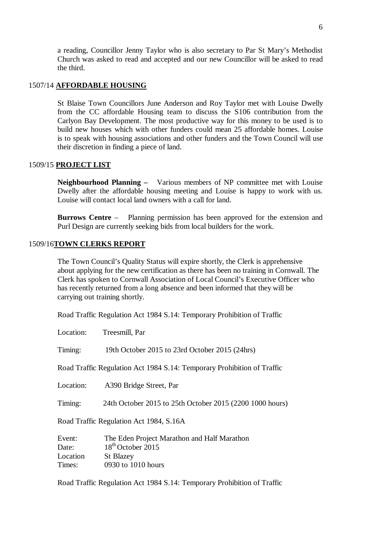a reading, Councillor Jenny Taylor who is also secretary to Par St Mary's Methodist Church was asked to read and accepted and our new Councillor will be asked to read the third.

# 1507/14 **AFFORDABLE HOUSING**

St Blaise Town Councillors June Anderson and Roy Taylor met with Louise Dwelly from the CC affordable Housing team to discuss the S106 contribution from the Carlyon Bay Development. The most productive way for this money to be used is to build new houses which with other funders could mean 25 affordable homes. Louise is to speak with housing associations and other funders and the Town Council will use their discretion in finding a piece of land.

#### 1509/15 **PROJECT LIST**

**Neighbourhood Planning –** Various members of NP committee met with Louise Dwelly after the affordable housing meeting and Louise is happy to work with us. Louise will contact local land owners with a call for land.

**Burrows Centre** – Planning permission has been approved for the extension and Purl Design are currently seeking bids from local builders for the work.

#### 1509/16**TOWN CLERKS REPORT**

The Town Council's Quality Status will expire shortly, the Clerk is apprehensive about applying for the new certification as there has been no training in Cornwall. The Clerk has spoken to Cornwall Association of Local Council's Executive Officer who has recently returned from a long absence and been informed that they will be carrying out training shortly.

Road Traffic Regulation Act 1984 S.14: Temporary Prohibition of Traffic

Location: Treesmill, Par

Timing: 19th October 2015 to 23rd October 2015 (24hrs)

Road Traffic Regulation Act 1984 S.14: Temporary Prohibition of Traffic

Location: A390 Bridge Street, Par

Timing: 24th October 2015 to 25th October 2015 (2200 1000 hours)

Road Traffic Regulation Act 1984, S.16A

| Event:   | The Eden Project Marathon and Half Marathon |
|----------|---------------------------------------------|
| Date:    | $18th$ October 2015                         |
| Location | <b>St Blazey</b>                            |
| Times:   | 0930 to 1010 hours                          |

Road Traffic Regulation Act 1984 S.14: Temporary Prohibition of Traffic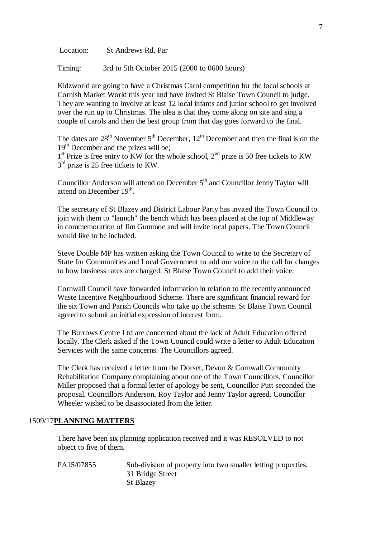Location: St Andrews Rd, Par

Timing: 3rd to 5th October 2015 (2000 to 0600 hours)

Kidzworld are going to have a Christmas Carol competition for the local schools at Cornish Market World this year and have invited St Blaise Town Council to judge. They are wanting to involve at least 12 local infants and junior school to get involved over the run up to Christmas. The idea is that they come along on site and sing a couple of carols and then the best group from that day goes forward to the final.

The dates are  $28<sup>th</sup>$  November  $5<sup>th</sup>$  December,  $12<sup>th</sup>$  December and then the final is on the 19<sup>th</sup> December and the prizes will be;

 $1<sup>st</sup>$  Prize is free entry to KW for the whole school,  $2<sup>nd</sup>$  prize is 50 free tickets to KW  $3<sup>rd</sup>$  prize is 25 free tickets to KW.

Councillor Anderson will attend on December 5<sup>th</sup> and Councillor Jenny Taylor will attend on December 19<sup>th</sup>.

The secretary of St Blazey and District Labour Party has invited the Town Council to join with them to "launch" the bench which has been placed at the top of Middleway in commemoration of Jim Gummoe and will invite local papers. The Town Council would like to be included.

Steve Double MP has written asking the Town Council to write to the Secretary of State for Communities and Local Government to add our voice to the call for changes to how business rates are charged. St Blaise Town Council to add their voice.

Cornwall Council have forwarded information in relation to the recently announced Waste Incentive Neighbourhood Scheme. There are significant financial reward for the six Town and Parish Councils who take up the scheme. St Blaise Town Council agreed to submit an initial expression of interest form.

The Burrows Centre Ltd are concerned about the lack of Adult Education offered locally. The Clerk asked if the Town Council could write a letter to Adult Education Services with the same concerns. The Councillors agreed.

The Clerk has received a letter from the Dorset, Devon & Cornwall Community Rehabilitation Company complaining about one of the Town Councillors. Councillor Miller proposed that a formal letter of apology be sent, Councillor Putt seconded the proposal. Councillors Anderson, Roy Taylor and Jenny Taylor agreed. Councillor Wheeler wished to be disassociated from the letter.

#### 1509/17**PLANNING MATTERS**

There have been six planning application received and it was RESOLVED to not object to five of them.

PA15/07855 Sub-division of property into two smaller letting properties. 31 Bridge Street St Blazey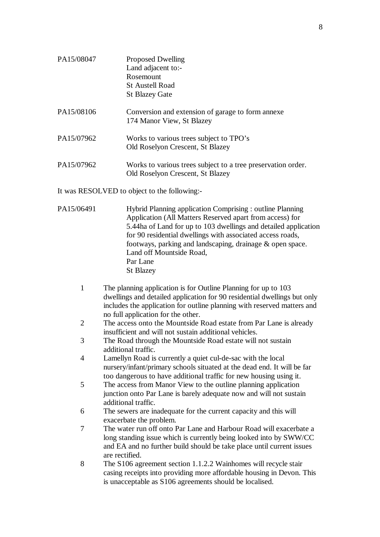| PA15/08047 | <b>Proposed Dwelling</b><br>Land adjacent to:-<br>Rosemount                                      |
|------------|--------------------------------------------------------------------------------------------------|
|            | <b>St Austell Road</b><br><b>St Blazey Gate</b>                                                  |
| PA15/08106 | Conversion and extension of garage to form annexe<br>174 Manor View, St Blazey                   |
| PA15/07962 | Works to various trees subject to TPO's<br>Old Roselyon Crescent, St Blazey                      |
| PA15/07962 | Works to various trees subject to a tree preservation order.<br>Old Roselyon Crescent, St Blazey |

It was RESOLVED to object to the following:-

| PA15/06491 | Hybrid Planning application Comprising : outline Planning       |
|------------|-----------------------------------------------------------------|
|            | Application (All Matters Reserved apart from access) for        |
|            | 5.44ha of Land for up to 103 dwellings and detailed application |
|            | for 90 residential dwellings with associated access roads,      |
|            | footways, parking and landscaping, drainage & open space.       |
|            | Land off Mountside Road,                                        |
|            | Par Lane                                                        |
|            | <b>St Blazey</b>                                                |
|            |                                                                 |

- 1 The planning application is for Outline Planning for up to 103 dwellings and detailed application for 90 residential dwellings but only includes the application for outline planning with reserved matters and no full application for the other.
- 2 The access onto the Mountside Road estate from Par Lane is already insufficient and will not sustain additional vehicles.
- 3 The Road through the Mountside Road estate will not sustain additional traffic.
- 4 Lamellyn Road is currently a quiet cul-de-sac with the local nursery/infant/primary schools situated at the dead end. It will be far too dangerous to have additional traffic for new housing using it.
- 5 The access from Manor View to the outline planning application junction onto Par Lane is barely adequate now and will not sustain additional traffic.
- 6 The sewers are inadequate for the current capacity and this will exacerbate the problem.
- 7 The water run off onto Par Lane and Harbour Road will exacerbate a long standing issue which is currently being looked into by SWW/CC and EA and no further build should be take place until current issues are rectified.
- 8 The S106 agreement section 1.1.2.2 Wainhomes will recycle stair casing receipts into providing more affordable housing in Devon. This is unacceptable as S106 agreements should be localised.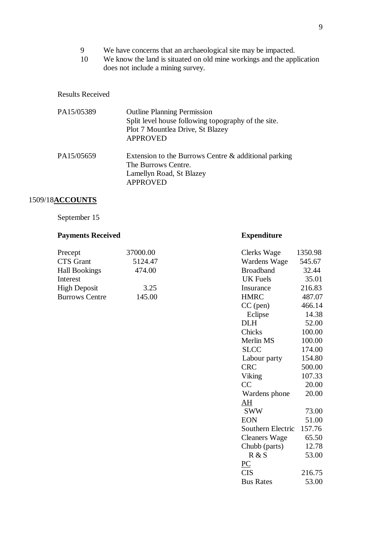- 9 We have concerns that an archaeological site may be impacted.
- 10 We know the land is situated on old mine workings and the application does not include a mining survey.

#### Results Received

| PA15/05389 | <b>Outline Planning Permission</b><br>Split level house following topography of the site.<br>Plot 7 Mountlea Drive, St Blazey<br><b>APPROVED</b> |
|------------|--------------------------------------------------------------------------------------------------------------------------------------------------|
| PA15/05659 | Extension to the Burrows Centre & additional parking<br>The Burrows Centre.<br>Lamellyn Road, St Blazey<br><b>APPROVED</b>                       |

# 1509/18**ACCOUNTS**

September 15

# **Payments Received <b>Expenditure**

| Precept               | 37000.00 | Clerks Wage      | 1350.98 |
|-----------------------|----------|------------------|---------|
| <b>CTS</b> Grant      | 5124.47  | Wardens Wage     | 545.67  |
| <b>Hall Bookings</b>  | 474.00   | <b>Broadband</b> | 32.44   |
| Interest              |          | UK Fuels         | 35.01   |
| <b>High Deposit</b>   | 3.25     | Insurance        | 216.83  |
| <b>Burrows Centre</b> | 145.00   | <b>HMRC</b>      | 487.07  |

| Precept               | 37000.00 | Clerks Wage               | 1350.98 |
|-----------------------|----------|---------------------------|---------|
| <b>CTS</b> Grant      | 5124.47  | Wardens Wage              | 545.67  |
| <b>Hall Bookings</b>  | 474.00   | <b>Broadband</b>          | 32.44   |
| Interest              |          | <b>UK</b> Fuels           | 35.01   |
| High Deposit          | 3.25     | Insurance                 | 216.83  |
| <b>Burrows Centre</b> | 145.00   | <b>HMRC</b>               | 487.07  |
|                       |          | $CC$ (pen)                | 466.14  |
|                       |          | Eclipse                   | 14.38   |
|                       |          | <b>DLH</b>                | 52.00   |
|                       |          | Chicks                    | 100.00  |
|                       |          | Merlin MS                 | 100.00  |
|                       |          | <b>SLCC</b>               | 174.00  |
|                       |          | Labour party              | 154.80  |
|                       |          | <b>CRC</b>                | 500.00  |
|                       |          | Viking                    | 107.33  |
|                       |          | CC                        | 20.00   |
|                       |          | Wardens phone             | 20.00   |
|                       |          | $\underline{\mathrm{AH}}$ |         |
|                       |          | <b>SWW</b>                | 73.00   |
|                       |          | <b>EON</b>                | 51.00   |
|                       |          | Southern Electric         | 157.76  |
|                       |          | <b>Cleaners Wage</b>      | 65.50   |
|                       |          | Chubb (parts)             | 12.78   |
|                       |          | R & S                     | 53.00   |
|                       |          | $\underline{PC}$          |         |
|                       |          | <b>CIS</b>                | 216.75  |
|                       |          | <b>Bus Rates</b>          | 53.00   |
|                       |          |                           |         |